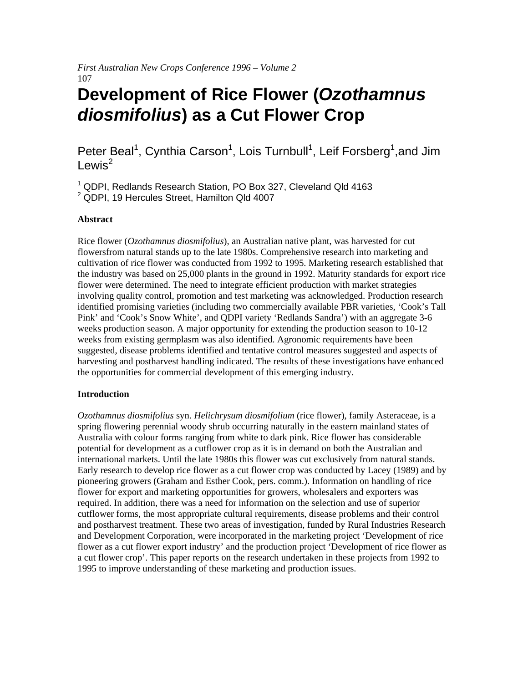*First Australian New Crops Conference 1996 – Volume 2*  107

# **Development of Rice Flower (***Ozothamnus diosmifolius***) as a Cut Flower Crop**

# Peter Beal<sup>1</sup>, Cynthia Carson<sup>1</sup>, Lois Turnbull<sup>1</sup>, Leif Forsberg<sup>1</sup>,and Jim Lewis<sup>2</sup>

<sup>1</sup> QDPI, Redlands Research Station, PO Box 327, Cleveland Qld 4163 <sup>2</sup> QDPI, 19 Hercules Street, Hamilton Qld 4007

#### **Abstract**

Rice flower (*Ozothamnus diosmifolius*), an Australian native plant, was harvested for cut flowersfrom natural stands up to the late 1980s. Comprehensive research into marketing and cultivation of rice flower was conducted from 1992 to 1995. Marketing research established that the industry was based on 25,000 plants in the ground in 1992. Maturity standards for export rice flower were determined. The need to integrate efficient production with market strategies involving quality control, promotion and test marketing was acknowledged. Production research identified promising varieties (including two commercially available PBR varieties, 'Cook's Tall Pink' and 'Cook's Snow White', and QDPI variety 'Redlands Sandra') with an aggregate 3-6 weeks production season. A major opportunity for extending the production season to 10-12 weeks from existing germplasm was also identified. Agronomic requirements have been suggested, disease problems identified and tentative control measures suggested and aspects of harvesting and postharvest handling indicated. The results of these investigations have enhanced the opportunities for commercial development of this emerging industry.

## **Introduction**

*Ozothamnus diosmifolius* syn. *Helichrysum diosmifolium* (rice flower), family Asteraceae, is a spring flowering perennial woody shrub occurring naturally in the eastern mainland states of Australia with colour forms ranging from white to dark pink. Rice flower has considerable potential for development as a cutflower crop as it is in demand on both the Australian and international markets. Until the late 1980s this flower was cut exclusively from natural stands. Early research to develop rice flower as a cut flower crop was conducted by Lacey (1989) and by pioneering growers (Graham and Esther Cook, pers. comm.). Information on handling of rice flower for export and marketing opportunities for growers, wholesalers and exporters was required. In addition, there was a need for information on the selection and use of superior cutflower forms, the most appropriate cultural requirements, disease problems and their control and postharvest treatment. These two areas of investigation, funded by Rural Industries Research and Development Corporation, were incorporated in the marketing project 'Development of rice flower as a cut flower export industry' and the production project 'Development of rice flower as a cut flower crop'. This paper reports on the research undertaken in these projects from 1992 to 1995 to improve understanding of these marketing and production issues.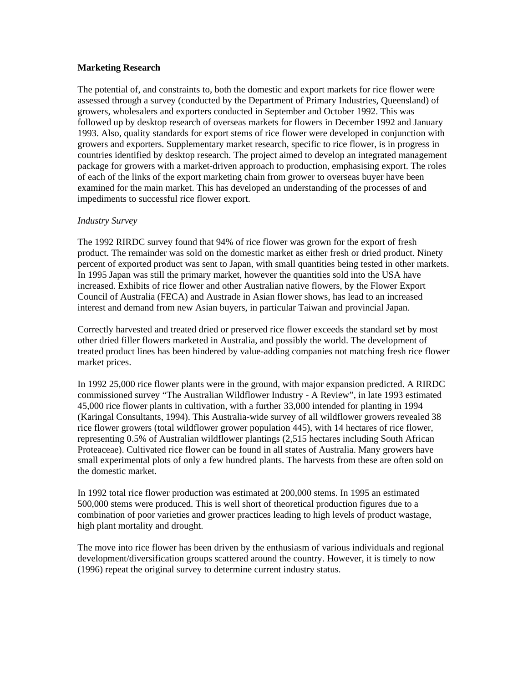#### **Marketing Research**

The potential of, and constraints to, both the domestic and export markets for rice flower were assessed through a survey (conducted by the Department of Primary Industries, Queensland) of growers, wholesalers and exporters conducted in September and October 1992. This was followed up by desktop research of overseas markets for flowers in December 1992 and January 1993. Also, quality standards for export stems of rice flower were developed in conjunction with growers and exporters. Supplementary market research, specific to rice flower, is in progress in countries identified by desktop research. The project aimed to develop an integrated management package for growers with a market-driven approach to production, emphasising export. The roles of each of the links of the export marketing chain from grower to overseas buyer have been examined for the main market. This has developed an understanding of the processes of and impediments to successful rice flower export.

#### *Industry Survey*

The 1992 RIRDC survey found that 94% of rice flower was grown for the export of fresh product. The remainder was sold on the domestic market as either fresh or dried product. Ninety percent of exported product was sent to Japan, with small quantities being tested in other markets. In 1995 Japan was still the primary market, however the quantities sold into the USA have increased. Exhibits of rice flower and other Australian native flowers, by the Flower Export Council of Australia (FECA) and Austrade in Asian flower shows, has lead to an increased interest and demand from new Asian buyers, in particular Taiwan and provincial Japan.

Correctly harvested and treated dried or preserved rice flower exceeds the standard set by most other dried filler flowers marketed in Australia, and possibly the world. The development of treated product lines has been hindered by value-adding companies not matching fresh rice flower market prices.

In 1992 25,000 rice flower plants were in the ground, with major expansion predicted. A RIRDC commissioned survey "The Australian Wildflower Industry - A Review", in late 1993 estimated 45,000 rice flower plants in cultivation, with a further 33,000 intended for planting in 1994 (Karingal Consultants, 1994). This Australia-wide survey of all wildflower growers revealed 38 rice flower growers (total wildflower grower population 445), with 14 hectares of rice flower, representing 0.5% of Australian wildflower plantings (2,515 hectares including South African Proteaceae). Cultivated rice flower can be found in all states of Australia. Many growers have small experimental plots of only a few hundred plants. The harvests from these are often sold on the domestic market.

In 1992 total rice flower production was estimated at 200,000 stems. In 1995 an estimated 500,000 stems were produced. This is well short of theoretical production figures due to a combination of poor varieties and grower practices leading to high levels of product wastage, high plant mortality and drought.

The move into rice flower has been driven by the enthusiasm of various individuals and regional development/diversification groups scattered around the country. However, it is timely to now (1996) repeat the original survey to determine current industry status.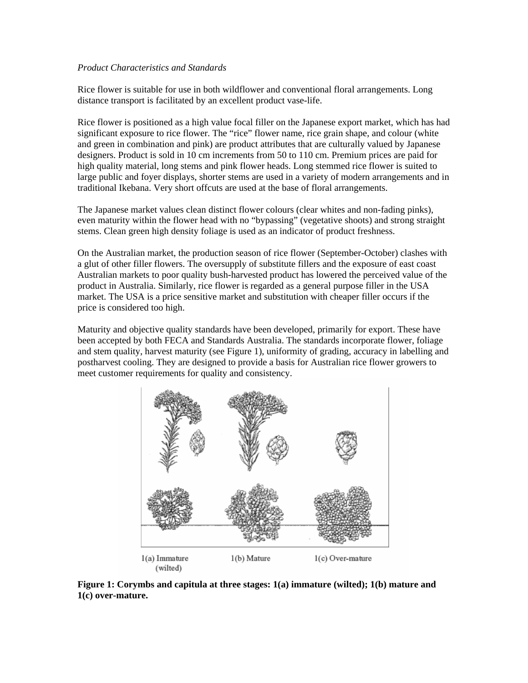#### *Product Characteristics and Standards*

Rice flower is suitable for use in both wildflower and conventional floral arrangements. Long distance transport is facilitated by an excellent product vase-life.

Rice flower is positioned as a high value focal filler on the Japanese export market, which has had significant exposure to rice flower. The "rice" flower name, rice grain shape, and colour (white and green in combination and pink) are product attributes that are culturally valued by Japanese designers. Product is sold in 10 cm increments from 50 to 110 cm. Premium prices are paid for high quality material, long stems and pink flower heads. Long stemmed rice flower is suited to large public and foyer displays, shorter stems are used in a variety of modern arrangements and in traditional Ikebana. Very short offcuts are used at the base of floral arrangements.

The Japanese market values clean distinct flower colours (clear whites and non-fading pinks), even maturity within the flower head with no "bypassing" (vegetative shoots) and strong straight stems. Clean green high density foliage is used as an indicator of product freshness.

On the Australian market, the production season of rice flower (September-October) clashes with a glut of other filler flowers. The oversupply of substitute fillers and the exposure of east coast Australian markets to poor quality bush-harvested product has lowered the perceived value of the product in Australia. Similarly, rice flower is regarded as a general purpose filler in the USA market. The USA is a price sensitive market and substitution with cheaper filler occurs if the price is considered too high.

Maturity and objective quality standards have been developed, primarily for export. These have been accepted by both FECA and Standards Australia. The standards incorporate flower, foliage and stem quality, harvest maturity (see Figure 1), uniformity of grading, accuracy in labelling and postharvest cooling. They are designed to provide a basis for Australian rice flower growers to meet customer requirements for quality and consistency.



**Figure 1: Corymbs and capitula at three stages: 1(a) immature (wilted); 1(b) mature and 1(c) over-mature.**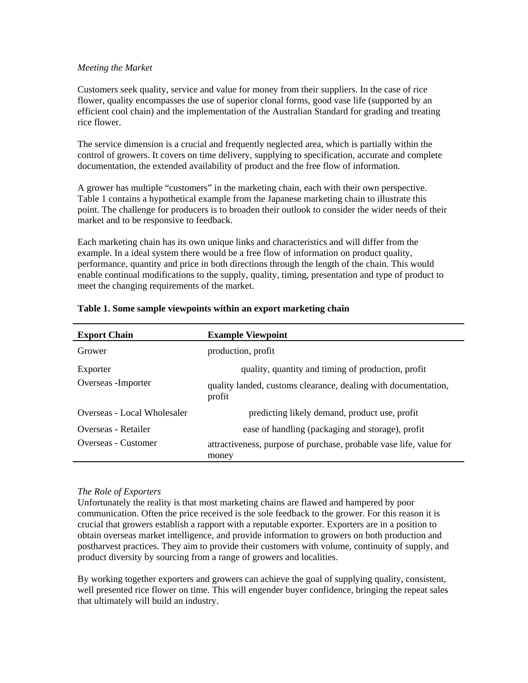#### *Meeting the Market*

Customers seek quality, service and value for money from their suppliers. In the case of rice flower, quality encompasses the use of superior clonal forms, good vase life (supported by an efficient cool chain) and the implementation of the Australian Standard for grading and treating rice flower.

The service dimension is a crucial and frequently neglected area, which is partially within the control of growers. It covers on time delivery, supplying to specification, accurate and complete documentation, the extended availability of product and the free flow of information.

A grower has multiple "customers" in the marketing chain, each with their own perspective. Table 1 contains a hypothetical example from the Japanese marketing chain to illustrate this point. The challenge for producers is to broaden their outlook to consider the wider needs of their market and to be responsive to feedback.

Each marketing chain has its own unique links and characteristics and will differ from the example. In a ideal system there would be a free flow of information on product quality, performance, quantity and price in both directions through the length of the chain. This would enable continual modifications to the supply, quality, timing, presentation and type of product to meet the changing requirements of the market.

| <b>Export Chain</b>             | <b>Example Viewpoint</b>                                                                                                       |
|---------------------------------|--------------------------------------------------------------------------------------------------------------------------------|
| Grower                          | production, profit                                                                                                             |
| Exporter<br>Overseas - Importer | quality, quantity and timing of production, profit<br>quality landed, customs clearance, dealing with documentation,<br>profit |
| Overseas - Local Wholesaler     | predicting likely demand, product use, profit                                                                                  |
| Overseas - Retailer             | ease of handling (packaging and storage), profit                                                                               |
| Overseas - Customer             | attractiveness, purpose of purchase, probable vase life, value for<br>money                                                    |

# **Table 1. Some sample viewpoints within an export marketing chain**

# *The Role of Exporters*

Unfortunately the reality is that most marketing chains are flawed and hampered by poor communication. Often the price received is the sole feedback to the grower. For this reason it is crucial that growers establish a rapport with a reputable exporter. Exporters are in a position to obtain overseas market intelligence, and provide information to growers on both production and postharvest practices. They aim to provide their customers with volume, continuity of supply, and product diversity by sourcing from a range of growers and localities.

By working together exporters and growers can achieve the goal of supplying quality, consistent, well presented rice flower on time. This will engender buyer confidence, bringing the repeat sales that ultimately will build an industry.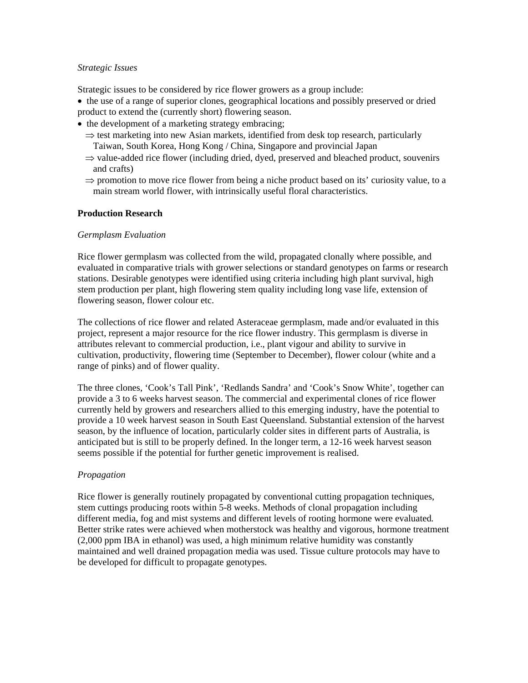#### *Strategic Issues*

Strategic issues to be considered by rice flower growers as a group include:

- the use of a range of superior clones, geographical locations and possibly preserved or dried product to extend the (currently short) flowering season.
- the development of a marketing strategy embracing;
	- $\Rightarrow$  test marketing into new Asian markets, identified from desk top research, particularly Taiwan, South Korea, Hong Kong / China, Singapore and provincial Japan
	- $\Rightarrow$  value-added rice flower (including dried, dyed, preserved and bleached product, souvenirs and crafts)
	- ⇒ promotion to move rice flower from being a niche product based on its' curiosity value, to a main stream world flower, with intrinsically useful floral characteristics.

## **Production Research**

#### *Germplasm Evaluation*

Rice flower germplasm was collected from the wild, propagated clonally where possible, and evaluated in comparative trials with grower selections or standard genotypes on farms or research stations. Desirable genotypes were identified using criteria including high plant survival, high stem production per plant, high flowering stem quality including long vase life, extension of flowering season, flower colour etc.

The collections of rice flower and related Asteraceae germplasm, made and/or evaluated in this project, represent a major resource for the rice flower industry. This germplasm is diverse in attributes relevant to commercial production, i.e., plant vigour and ability to survive in cultivation, productivity, flowering time (September to December), flower colour (white and a range of pinks) and of flower quality.

The three clones, 'Cook's Tall Pink', 'Redlands Sandra' and 'Cook's Snow White', together can provide a 3 to 6 weeks harvest season. The commercial and experimental clones of rice flower currently held by growers and researchers allied to this emerging industry, have the potential to provide a 10 week harvest season in South East Queensland. Substantial extension of the harvest season, by the influence of location, particularly colder sites in different parts of Australia, is anticipated but is still to be properly defined. In the longer term, a 12-16 week harvest season seems possible if the potential for further genetic improvement is realised.

# *Propagation*

Rice flower is generally routinely propagated by conventional cutting propagation techniques, stem cuttings producing roots within 5-8 weeks. Methods of clonal propagation including different media, fog and mist systems and different levels of rooting hormone were evaluated*.*  Better strike rates were achieved when motherstock was healthy and vigorous, hormone treatment (2,000 ppm IBA in ethanol) was used, a high minimum relative humidity was constantly maintained and well drained propagation media was used. Tissue culture protocols may have to be developed for difficult to propagate genotypes.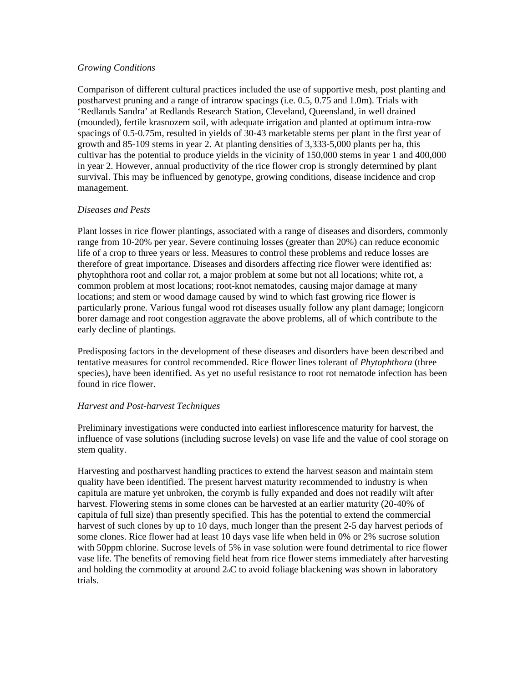#### *Growing Conditions*

Comparison of different cultural practices included the use of supportive mesh, post planting and postharvest pruning and a range of intrarow spacings (i.e. 0.5, 0.75 and 1.0m). Trials with 'Redlands Sandra' at Redlands Research Station, Cleveland, Queensland, in well drained (mounded), fertile krasnozem soil, with adequate irrigation and planted at optimum intra-row spacings of 0.5-0.75m, resulted in yields of 30-43 marketable stems per plant in the first year of growth and 85-109 stems in year 2. At planting densities of 3,333-5,000 plants per ha, this cultivar has the potential to produce yields in the vicinity of 150,000 stems in year 1 and 400,000 in year 2. However, annual productivity of the rice flower crop is strongly determined by plant survival. This may be influenced by genotype, growing conditions, disease incidence and crop management.

# *Diseases and Pests*

Plant losses in rice flower plantings, associated with a range of diseases and disorders, commonly range from 10-20% per year. Severe continuing losses (greater than 20%) can reduce economic life of a crop to three years or less. Measures to control these problems and reduce losses are therefore of great importance. Diseases and disorders affecting rice flower were identified as: phytophthora root and collar rot, a major problem at some but not all locations; white rot, a common problem at most locations; root-knot nematodes, causing major damage at many locations; and stem or wood damage caused by wind to which fast growing rice flower is particularly prone. Various fungal wood rot diseases usually follow any plant damage; longicorn borer damage and root congestion aggravate the above problems, all of which contribute to the early decline of plantings.

Predisposing factors in the development of these diseases and disorders have been described and tentative measures for control recommended. Rice flower lines tolerant of *Phytophthora* (three species), have been identified. As yet no useful resistance to root rot nematode infection has been found in rice flower.

# *Harvest and Post-harvest Techniques*

Preliminary investigations were conducted into earliest inflorescence maturity for harvest, the influence of vase solutions (including sucrose levels) on vase life and the value of cool storage on stem quality.

Harvesting and postharvest handling practices to extend the harvest season and maintain stem quality have been identified. The present harvest maturity recommended to industry is when capitula are mature yet unbroken, the corymb is fully expanded and does not readily wilt after harvest. Flowering stems in some clones can be harvested at an earlier maturity (20-40% of capitula of full size) than presently specified. This has the potential to extend the commercial harvest of such clones by up to 10 days, much longer than the present 2-5 day harvest periods of some clones. Rice flower had at least 10 days vase life when held in 0% or 2% sucrose solution with 50ppm chlorine. Sucrose levels of 5% in vase solution were found detrimental to rice flower vase life. The benefits of removing field heat from rice flower stems immediately after harvesting and holding the commodity at around 2oC to avoid foliage blackening was shown in laboratory trials.